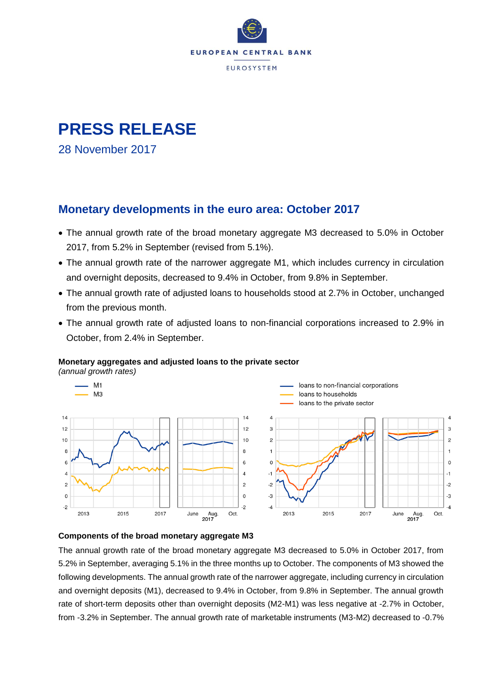

# **PRESS RELEASE**

28 November 2017

### **Monetary developments in the euro area: October 2017**

- The annual growth rate of the broad monetary aggregate M3 decreased to 5.0% in October 2017, from 5.2% in September (revised from 5.1%).
- The annual growth rate of the narrower aggregate M1, which includes currency in circulation and overnight deposits, decreased to 9.4% in October, from 9.8% in September.
- The annual growth rate of adjusted loans to households stood at 2.7% in October, unchanged from the previous month.
- The annual growth rate of adjusted loans to non-financial corporations increased to 2.9% in October, from 2.4% in September.

#### **Monetary aggregates and adjusted loans to the private sector**

*(annual growth rates)*





The annual growth rate of the broad monetary aggregate M3 decreased to 5.0% in October 2017, from 5.2% in September, averaging 5.1% in the three months up to October. The components of M3 showed the following developments. The annual growth rate of the narrower aggregate, including currency in circulation and overnight deposits (M1), decreased to 9.4% in October, from 9.8% in September. The annual growth rate of short-term deposits other than overnight deposits (M2-M1) was less negative at -2.7% in October, from -3.2% in September. The annual growth rate of marketable instruments (M3-M2) decreased to -0.7%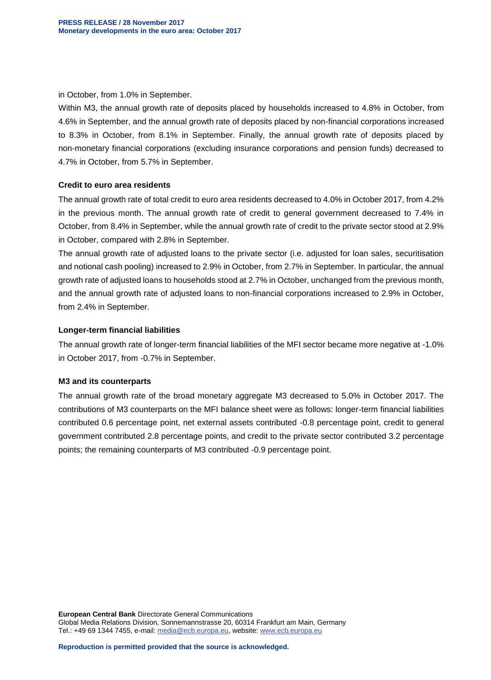in October, from 1.0% in September.

Within M3, the annual growth rate of deposits placed by households increased to 4.8% in October, from 4.6% in September, and the annual growth rate of deposits placed by non-financial corporations increased to 8.3% in October, from 8.1% in September. Finally, the annual growth rate of deposits placed by non-monetary financial corporations (excluding insurance corporations and pension funds) decreased to 4.7% in October, from 5.7% in September.

#### **Credit to euro area residents**

The annual growth rate of total credit to euro area residents decreased to 4.0% in October 2017, from 4.2% in the previous month. The annual growth rate of credit to general government decreased to 7.4% in October, from 8.4% in September, while the annual growth rate of credit to the private sector stood at 2.9% in October, compared with 2.8% in September.

The annual growth rate of adjusted loans to the private sector (i.e. adjusted for loan sales, securitisation and notional cash pooling) increased to 2.9% in October, from 2.7% in September. In particular, the annual growth rate of adjusted loans to households stood at 2.7% in October, unchanged from the previous month, and the annual growth rate of adjusted loans to non-financial corporations increased to 2.9% in October, from 2.4% in September.

#### **Longer-term financial liabilities**

The annual growth rate of longer-term financial liabilities of the MFI sector became more negative at -1.0% in October 2017, from -0.7% in September.

#### **M3 and its counterparts**

The annual growth rate of the broad monetary aggregate M3 decreased to 5.0% in October 2017. The contributions of M3 counterparts on the MFI balance sheet were as follows: longer-term financial liabilities contributed 0.6 percentage point, net external assets contributed -0.8 percentage point, credit to general government contributed 2.8 percentage points, and credit to the private sector contributed 3.2 percentage points; the remaining counterparts of M3 contributed -0.9 percentage point.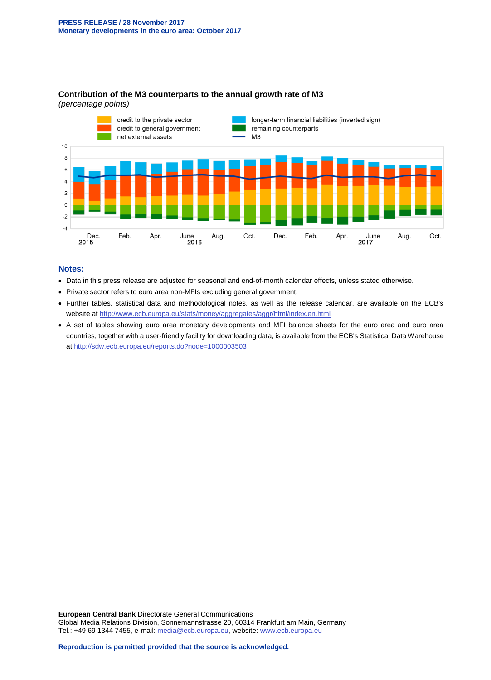

#### **Contribution of the M3 counterparts to the annual growth rate of M3** *(percentage points)*

#### **Notes:**

- Data in this press release are adjusted for seasonal and end-of-month calendar effects, unless stated otherwise.
- Private sector refers to euro area non-MFIs excluding general government.
- Further tables, statistical data and methodological notes, as well as the release calendar, are available on the ECB's website at<http://www.ecb.europa.eu/stats/money/aggregates/aggr/html/index.en.html>
- A set of tables showing euro area monetary developments and MFI balance sheets for the euro area and euro area countries, together with a user-friendly facility for downloading data, is available from the ECB's Statistical Data Warehouse at<http://sdw.ecb.europa.eu/reports.do?node=1000003503>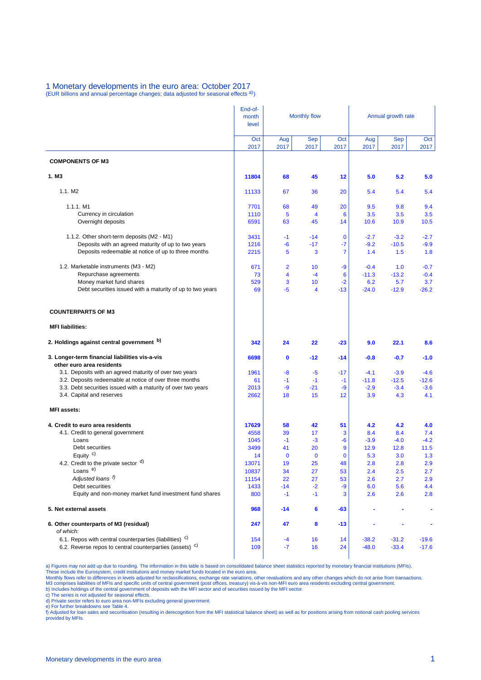### 1 Monetary developments in the euro area: October 2017<br>(EUR billions and annual percentage changes; data adjusted for seasonal effects <sup>a)</sup>)

|                                                                                       | End-of-        |                |                               |                   |                |                    |                |  |
|---------------------------------------------------------------------------------------|----------------|----------------|-------------------------------|-------------------|----------------|--------------------|----------------|--|
|                                                                                       | month<br>level |                | <b>Monthly flow</b>           |                   |                | Annual growth rate |                |  |
|                                                                                       | Oct            | Aug            | <b>Sep</b>                    | Oct               | Aug            | <b>Sep</b>         | Oct            |  |
|                                                                                       | 2017           | 2017           | 2017                          | 2017              | 2017           | 2017               | 2017           |  |
| <b>COMPONENTS OF M3</b>                                                               |                |                |                               |                   |                |                    |                |  |
| 1. M <sub>3</sub>                                                                     | 11804          | 68             | 45                            | 12                | 5.0            | 5.2                | 5.0            |  |
| 1.1. M2                                                                               | 11133          | 67             | 36                            | 20                | 5.4            | 5.4                | 5.4            |  |
| 1.1.1. M1                                                                             | 7701           | 68             | 49                            | 20                | 9.5            | 9.8                | 9.4            |  |
| Currency in circulation                                                               | 1110           | 5              | $\overline{4}$                | 6                 | 3.5            | 3.5                | 3.5            |  |
| Overnight deposits                                                                    | 6591           | 63             | 45                            | 14                | 10.6           | 10.9               | 10.5           |  |
| 1.1.2. Other short-term deposits (M2 - M1)                                            | 3431           | $-1$           | $-14$                         | $\mathbf 0$       | $-2.7$         | $-3.2$             | $-2.7$         |  |
| Deposits with an agreed maturity of up to two years                                   | 1216           | -6             | $-17$                         | -7                | $-9.2$         | $-10.5$            | $-9.9$         |  |
| Deposits redeemable at notice of up to three months                                   | 2215           | 5              | 3                             | $\overline{7}$    | 1.4            | 1.5                | 1.8            |  |
| 1.2. Marketable instruments (M3 - M2)                                                 | 671            | $\overline{2}$ | 10                            | -9                | $-0.4$         | 1.0                | $-0.7$         |  |
| Repurchase agreements                                                                 | 73             | 4              | $-4$                          | 6                 | $-11.3$        | $-13.2$            | $-0.4$         |  |
| Money market fund shares<br>Debt securities issued with a maturity of up to two years | 529<br>69      | 3<br>-5        | 10<br>$\overline{\mathbf{4}}$ | $-2$<br>$-13$     | 6.2<br>$-24.0$ | 5.7<br>$-12.9$     | 3.7<br>$-26.2$ |  |
| <b>COUNTERPARTS OF M3</b>                                                             |                |                |                               |                   |                |                    |                |  |
| <b>MFI liabilities:</b>                                                               |                |                |                               |                   |                |                    |                |  |
| 2. Holdings against central government b)                                             | 342            | 24             | 22                            | $-23$             | 9.0            | 22.1               | 8.6            |  |
| 3. Longer-term financial liabilities vis-a-vis<br>other euro area residents           | 6698           | 0              | $-12$                         | $-14$             | $-0.8$         | $-0.7$             | $-1.0$         |  |
| 3.1. Deposits with an agreed maturity of over two years                               | 1961           | -8             | $-5$                          | $-17$             | $-4.1$         | $-3.9$             | $-4.6$         |  |
| 3.2. Deposits redeemable at notice of over three months                               | 61             | $-1$           | $-1$                          | $-1$              | $-11.8$        | $-12.5$            | $-12.6$        |  |
| 3.3. Debt securities issued with a maturity of over two years                         | 2013           | -9             | $-21$                         | -9                | $-2.9$         | $-3.4$             | $-3.6$         |  |
| 3.4. Capital and reserves                                                             | 2662           | 18             | 15                            | 12                | 3.9            | 4.3                | 4.1            |  |
| <b>MFI</b> assets:                                                                    |                |                |                               |                   |                |                    |                |  |
| 4. Credit to euro area residents                                                      | 17629          | 58             | 42                            | 51                | 4.2            | 4.2                | 4.0            |  |
| 4.1. Credit to general government                                                     | 4558           | 39             | 17                            | 3                 | 8.4            | 8.4                | 7.4            |  |
| Loans                                                                                 | 1045           | $-1$           | $-3$                          | -6                | $-3.9$         | $-4.0$             | $-4.2$         |  |
| Debt securities<br>Equity $c$ )                                                       | 3499           | 41             | 20                            | 9                 | 12.9           | 12.8               | 11.5           |  |
| 4.2. Credit to the private sector d)                                                  | 14<br>13071    | $\bf{0}$<br>19 | $\mathbf 0$<br>25             | $\mathbf 0$<br>48 | 5.3<br>2.8     | 3.0<br>2.8         | 1.3<br>2.9     |  |
| Loans <sup>e)</sup>                                                                   | 10837          | 34             | 27                            | 53                | 2.4            | 2.5                | 2.7            |  |
| Adjusted loans f)                                                                     | 11154          | 22             | 27                            | 53                | 2.6            | 2.7                | 2.9            |  |
| Debt securities                                                                       | 1433           | $-14$          | $-2$                          | $-9$              | 6.0            | 5.6                | 4.4            |  |
| Equity and non-money market fund investment fund shares                               | 800            | $-1$           | $-1$                          | 3                 | 2.6            | 2.6                | 2.8            |  |
| 5. Net external assets                                                                | 968            | $-14$          | 6                             | $-63$             |                |                    | ٠              |  |
|                                                                                       |                |                |                               |                   |                |                    |                |  |
| 6. Other counterparts of M3 (residual)                                                | 247            | 47             | 8                             | -13               |                |                    |                |  |
| of which:<br>6.1. Repos with central counterparties (liabilities) <sup>c)</sup>       | 154            | $-4$           | 16                            | 14                | $-38.2$        | $-31.2$            | $-19.6$        |  |

a) Figures may not add up due to rounding. The information in this table is based on consolidated balance sheet statistics reported by monetary financial institutions (MFIs).<br>These include the Eurosystem, credit institutio

c) The series is not adjusted for seasonal effects. d) Private sector refers to euro area non-MFIs excluding general government.

e) For further breakdowns see Table 4.<br>f) Adjusted for loan sales and securitisation (resulting in derecognition from the MFI statistical balance sheet) as well as for positions arising from notional cash pooling services provided by MFIs.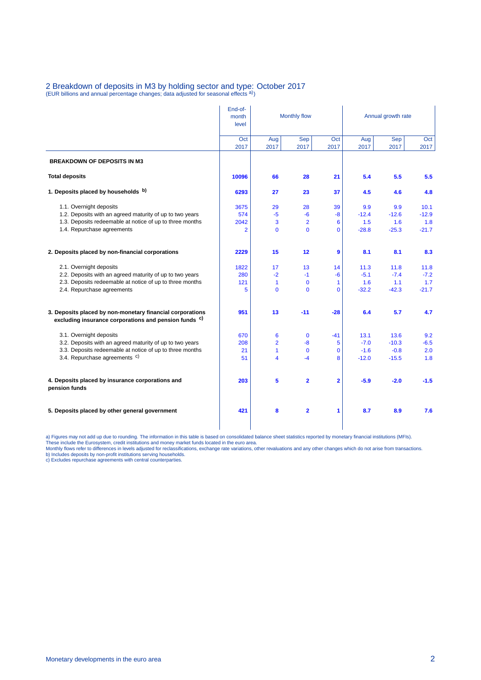### 2 Breakdown of deposits in M3 by holding sector and type: October 2017<br>(EUR billions and annual percentage changes; data adjusted for seasonal effects <sup>a)</sup>)

|                                                                                                                               | End-of-<br>month<br>level | Monthly flow   |                         | Annual growth rate      |             |             |             |
|-------------------------------------------------------------------------------------------------------------------------------|---------------------------|----------------|-------------------------|-------------------------|-------------|-------------|-------------|
|                                                                                                                               | Oct<br>2017               | Aug<br>2017    | Sep<br>2017             | Oct<br>2017             | Aug<br>2017 | Sep<br>2017 | Oct<br>2017 |
| <b>BREAKDOWN OF DEPOSITS IN M3</b>                                                                                            |                           |                |                         |                         |             |             |             |
| <b>Total deposits</b>                                                                                                         | 10096                     | 66             | 28                      | 21                      | 5.4         | 5.5         | 5.5         |
| 1. Deposits placed by households b)                                                                                           | 6293                      | 27             | 23                      | 37                      | 4.5         | 4.6         | 4.8         |
| 1.1. Overnight deposits                                                                                                       | 3675                      | 29             | 28                      | 39                      | 9.9         | 9.9         | 10.1        |
| 1.2. Deposits with an agreed maturity of up to two years                                                                      | 574                       | -5             | -6                      | $-8$                    | $-12.4$     | $-12.6$     | $-12.9$     |
| 1.3. Deposits redeemable at notice of up to three months                                                                      | 2042                      | 3              | $\overline{2}$          | 6                       | 1.5         | 1.6         | 1.8         |
| 1.4. Repurchase agreements                                                                                                    | $\overline{2}$            | $\mathbf{0}$   | $\mathbf 0$             | 0                       | $-28.8$     | $-25.3$     | $-21.7$     |
| 2. Deposits placed by non-financial corporations                                                                              | 2229                      | 15             | 12                      | 9                       | 8.1         | 8.1         | 8.3         |
| 2.1. Overnight deposits                                                                                                       | 1822                      | 17             | 13                      | 14                      | 11.3        | 11.8        | 11.8        |
| 2.2. Deposits with an agreed maturity of up to two years                                                                      | 280                       | $-2$           | $-1$                    | $-6$                    | $-5.1$      | $-7.4$      | $-7.2$      |
| 2.3. Deposits redeemable at notice of up to three months                                                                      | 121                       | $\mathbf{1}$   | $\mathbf 0$             | 1                       | 1.6         | 1.1         | 1.7         |
| 2.4. Repurchase agreements                                                                                                    | 5                         | $\mathbf{0}$   | $\mathbf 0$             | 0                       | $-32.2$     | $-42.3$     | $-21.7$     |
| 3. Deposits placed by non-monetary financial corporations<br>excluding insurance corporations and pension funds <sup>c)</sup> | 951                       | 13             | $-11$                   | $-28$                   | 6.4         | 5.7         | 4.7         |
| 3.1. Overnight deposits                                                                                                       | 670                       | 6              | $\mathbf 0$             | $-41$                   | 13.1        | 13.6        | 9.2         |
| 3.2. Deposits with an agreed maturity of up to two years                                                                      | 208                       | $\overline{2}$ | $-8$                    | 5                       | $-7.0$      | $-10.3$     | $-6.5$      |
| 3.3. Deposits redeemable at notice of up to three months                                                                      | 21                        | $\mathbf{1}$   | $\mathbf 0$             | $\mathbf{0}$            | $-1.6$      | $-0.8$      | 2.0         |
| 3.4. Repurchase agreements <sup>c)</sup>                                                                                      | 51                        | 4              | $-4$                    | 8                       | $-12.0$     | $-15.5$     | 1.8         |
| 4. Deposits placed by insurance corporations and<br>pension funds                                                             | 203                       | 5              | $\overline{\mathbf{2}}$ | $\overline{\mathbf{2}}$ | $-5.9$      | $-2.0$      | $-1.5$      |
| 5. Deposits placed by other general government                                                                                | 421                       | 8              | $\overline{\mathbf{2}}$ | 1                       | 8.7         | 8.9         | 7.6         |

a) Figures may not add up due to rounding. The information in this table is based on consolidated balance sheet statistics reported by monetary financial institutions (MFIs).<br>These include the Eurosystem, credit institutio